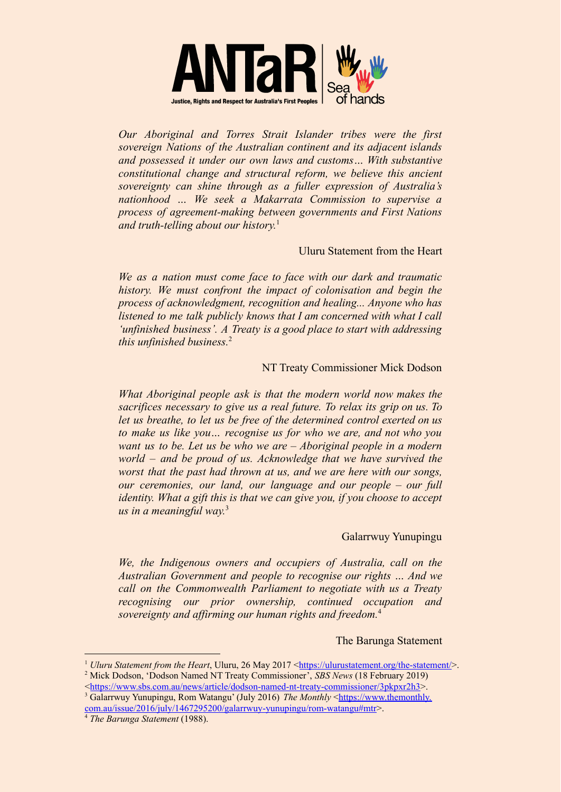

*Our Aboriginal and Torres Strait Islander tribes were the first sovereign Nations of the Australian continent and its adjacent islands and possessed it under our own laws and customs… With substantive constitutional change and structural reform, we believe this ancient sovereignty can shine through as a fuller expression of Australia's nationhood … We seek a Makarrata Commission to supervise a process of agreement-making between governments and First Nations and truth-telling about our history.* 1

# Uluru Statement from the Heart

*We as a nation must come face to face with our dark and traumatic history. We must confront the impact of colonisation and begin the process of acknowledgment, recognition and healing... Anyone who has listened to me talk publicly knows that I am concerned with what I call 'unfinished business'. A Treaty is a good place to start with addressing this unfinished business.*<sup>2</sup>

## NT Treaty Commissioner Mick Dodson

*What Aboriginal people ask is that the modern world now makes the sacrifices necessary to give us a real future. To relax its grip on us. To let us breathe, to let us be free of the determined control exerted on us to make us like you… recognise us for who we are, and not who you want us to be. Let us be who we are – Aboriginal people in a modern world – and be proud of us. Acknowledge that we have survived the worst that the past had thrown at us, and we are here with our songs, our ceremonies, our land, our language and our people – our full identity. What a gift this is that we can give you, if you choose to accept us in a meaningful way.* 3

# Galarrwuy Yunupingu

*We, the Indigenous owners and occupiers of Australia, call on the Australian Government and people to recognise our rights … And we call on the Commonwealth Parliament to negotiate with us a Treaty recognising our prior ownership, continued occupation and sovereignty and affirming our human rights and freedom.*<sup>4</sup>

## The Barunga Statement

<sup>1</sup> *Uluru Statement from the Heart*, Uluru, 26 May 2017 <[https://ulurustatement.org/the-statement/>](https://ulurustatement.org/the-statement/).

<sup>2</sup> Mick Dodson, 'Dodson Named NT Treaty Commissioner', *SBS News* (18 February 2019) <[https://www.sbs.com.au/news/article/dodson-named-nt-treaty-commissioner/3pkpxr2h3>](https://www.sbs.com.au/news/article/dodson-named-nt-treaty-commissioner/3pkpxr2h3).

<sup>&</sup>lt;sup>3</sup> Galarrwuy Yunupingu, Rom Watangu' (July 2016) *The Monthly* <[https://www.themonthly.](https://www.themonthly.com.au/issue/2016/july/1467295200/galarrwuy-yunupingu/rom-watangu#mtr) [com.au/issue/2016/july/1467295200/galarrwuy-yunupingu/rom-watangu#mtr](https://www.themonthly.com.au/issue/2016/july/1467295200/galarrwuy-yunupingu/rom-watangu#mtr)>.

<sup>4</sup> *The Barunga Statement* (1988).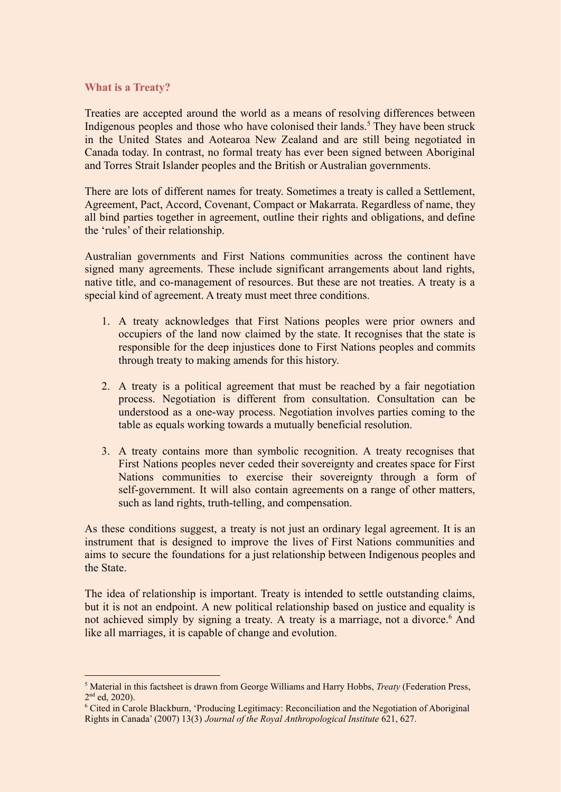#### **What is a Treaty?**

Treaties are accepted around the world as a means of resolving differences between Indigenous peoples and those who have colonised their lands.<sup>5</sup> They have been struck in the United States and Aotearoa New Zealand and are still being negotiated in Canada today. In contrast, no formal treaty has ever been signed between Aboriginal and Torres Strait Islander peoples and the British or Australian governments.

There are lots of different names for treaty. Sometimes a treaty is called a Settlement, Agreement, Pact, Accord, Covenant, Compact or Makarrata. Regardless of name, they all bind parties together in agreement, outline their rights and obligations, and define the 'rules' of their relationship.

Australian governments and First Nations communities across the continent have signed many agreements. These include significant arrangements about land rights, native title, and co-management of resources. But these are not treaties. A treaty is a special kind of agreement. A treaty must meet three conditions.

- 1. A treaty acknowledges that First Nations peoples were prior owners and occupiers of the land now claimed by the state. It recognises that the state is responsible for the deep injustices done to First Nations peoples and commits through treaty to making amends for this history.
- 2. A treaty is a political agreement that must be reached by a fair negotiation process. Negotiation is different from consultation. Consultation can be understood as a one-way process. Negotiation involves parties coming to the table as equals working towards a mutually beneficial resolution.
- 3. A treaty contains more than symbolic recognition. A treaty recognises that First Nations peoples never ceded their sovereignty and creates space for First Nations communities to exercise their sovereignty through a form of self-government. It will also contain agreements on a range of other matters, such as land rights, truth-telling, and compensation.

As these conditions suggest, a treaty is not just an ordinary legal agreement. It is an instrument that is designed to improve the lives of First Nations communities and aims to secure the foundations for a just relationship between Indigenous peoples and the State.

The idea of relationship is important. Treaty is intended to settle outstanding claims, but it is not an endpoint. A new political relationship based on justice and equality is not achieved simply by signing a treaty. A treaty is a marriage, not a divorce.<sup>6</sup> And like all marriages, it is capable of change and evolution.

<sup>5</sup> Material in this factsheet is drawn from George Williams and Harry Hobbs, *Treaty* (Federation Press,  $2<sup>nd</sup>$  ed, 2020).

<sup>6</sup> Cited in Carole Blackburn, 'Producing Legitimacy: Reconciliation and the Negotiation of Aboriginal Rights in Canada' (2007) 13(3) *Journal of the Royal Anthropological Institute* 621, 627.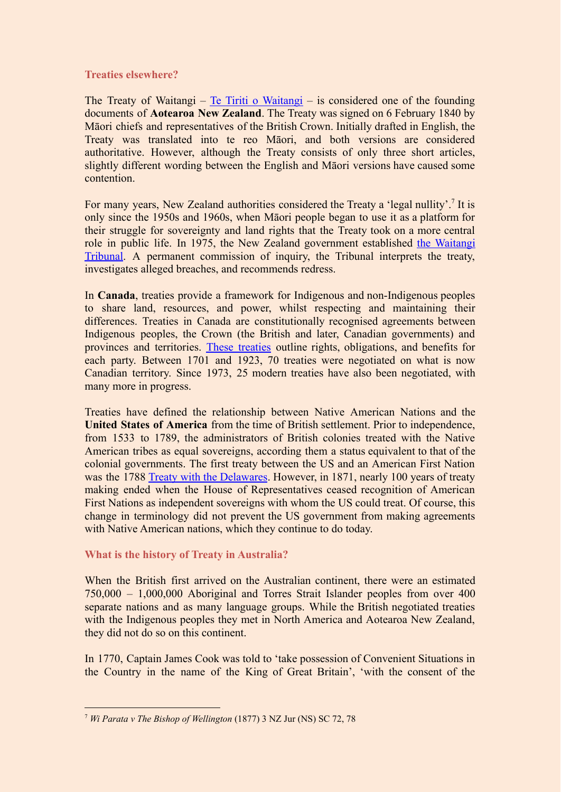# **Treaties elsewhere?**

The Treaty of Waitangi – Te Tiriti o [Waitangi](https://www.archives.govt.nz/discover-our-stories/the-treaty-of-waitangi) – is considered one of the founding documents of **Aotearoa New Zealand**. The Treaty was signed on 6 February 1840 by Māori chiefs and representatives of the British Crown. Initially drafted in English, the Treaty was translated into te reo Māori, and both versions are considered authoritative. However, although the Treaty consists of only three short articles, slightly different wording between the English and Māori versions have caused some contention.

For many years, New Zealand authorities considered the Treaty a 'legal nullity'.<sup>7</sup> It is only since the 1950s and 1960s, when Māori people began to use it as a platform for their struggle for sovereignty and land rights that the Treaty took on a more central role in public life. In 1975, the New Zealand government established the [Waitangi](https://waitangitribunal.govt.nz/) [Tribunal.](https://waitangitribunal.govt.nz/) A permanent commission of inquiry, the Tribunal interprets the treaty, investigates alleged breaches, and recommends redress.

In **Canada**, treaties provide a framework for Indigenous and non-Indigenous peoples to share land, resources, and power, whilst respecting and maintaining their differences. Treaties in Canada are constitutionally recognised agreements between Indigenous peoples, the Crown (the British and later, Canadian governments) and provinces and territories. These [treaties](https://www.rcaanc-cirnac.gc.ca/eng/1100100028574/1529354437231) outline rights, obligations, and benefits for each party. Between 1701 and 1923, 70 treaties were negotiated on what is now Canadian territory. Since 1973, 25 modern treaties have also been negotiated, with many more in progress.

Treaties have defined the relationship between Native American Nations and the **United States of America** from the time of British settlement. Prior to independence, from 1533 to 1789, the administrators of British colonies treated with the Native American tribes as equal sovereigns, according them a status equivalent to that of the colonial governments. The first treaty between the US and an American First Nation was the 1788 Treaty with the [Delawares](https://avalon.law.yale.edu/18th_century/del1778.asp). However, in 1871, nearly 100 years of treaty making ended when the House of Representatives ceased recognition of American First Nations as independent sovereigns with whom the US could treat. Of course, this change in terminology did not prevent the US government from making agreements with Native American nations, which they continue to do today.

## **What is the history of Treaty in Australia?**

When the British first arrived on the Australian continent, there were an estimated 750,000 – 1,000,000 Aboriginal and Torres Strait Islander peoples from over 400 separate nations and as many language groups. While the British negotiated treaties with the Indigenous peoples they met in North America and Aotearoa New Zealand, they did not do so on this continent.

In 1770, Captain James Cook was told to 'take possession of Convenient Situations in the Country in the name of the King of Great Britain', 'with the consent of the

<sup>7</sup> *Wi Parata v The Bishop of Wellington* (1877) 3 NZ Jur (NS) SC 72, 78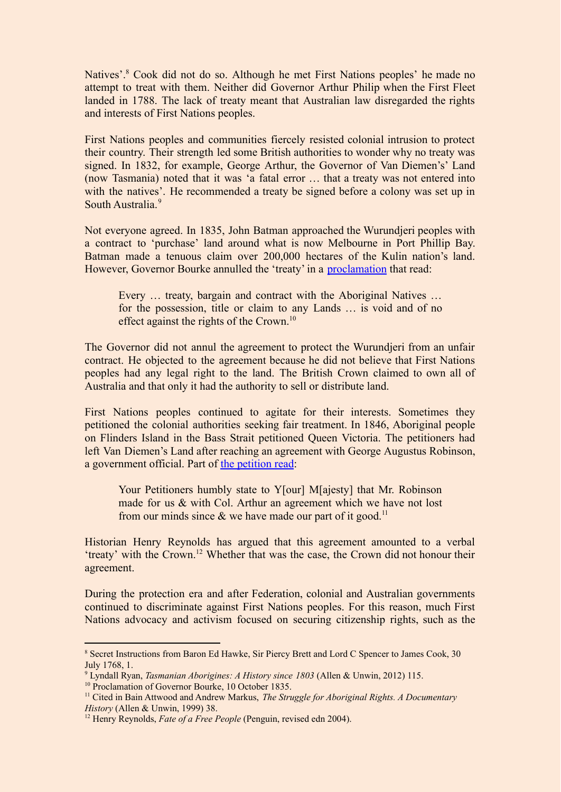Natives'.<sup>8</sup> Cook did not do so. Although he met First Nations peoples' he made no attempt to treat with them. Neither did Governor Arthur Philip when the First Fleet landed in 1788. The lack of treaty meant that Australian law disregarded the rights and interests of First Nations peoples.

First Nations peoples and communities fiercely resisted colonial intrusion to protect their country. Their strength led some British authorities to wonder why no treaty was signed. In 1832, for example, George Arthur, the Governor of Van Diemen's' Land (now Tasmania) noted that it was 'a fatal error … that a treaty was not entered into with the natives'. He recommended a treaty be signed before a colony was set up in South Australia<sup>9</sup>

Not everyone agreed. In 1835, John Batman approached the Wurundjeri peoples with a contract to 'purchase' land around what is now Melbourne in Port Phillip Bay. Batman made a tenuous claim over 200,000 hectares of the Kulin nation's land. However, Governor Bourke annulled the 'treaty' in a [proclamation](https://www.foundingdocs.gov.au/item-did-42.html) that read:

Every … treaty, bargain and contract with the Aboriginal Natives … for the possession, title or claim to any Lands … is void and of no effect against the rights of the Crown.<sup>10</sup>

The Governor did not annul the agreement to protect the Wurundjeri from an unfair contract. He objected to the agreement because he did not believe that First Nations peoples had any legal right to the land. The British Crown claimed to own all of Australia and that only it had the authority to sell or distribute land.

First Nations peoples continued to agitate for their interests. Sometimes they petitioned the colonial authorities seeking fair treatment. In 1846, Aboriginal people on Flinders Island in the Bass Strait petitioned Queen Victoria. The petitioners had left Van Diemen's Land after reaching an agreement with George Augustus Robinson, a government official. Part of [the petition read](https://www.nma.gov.au/__data/assets/pdf_file/0010/698734/her-majesty-queen-victoria.pdf):

Your Petitioners humbly state to Y[our] M[ajesty] that Mr. Robinson made for us & with Col. Arthur an agreement which we have not lost from our minds since  $\&$  we have made our part of it good.<sup>11</sup>

Historian Henry Reynolds has argued that this agreement amounted to a verbal 'treaty' with the Crown.<sup>12</sup> Whether that was the case, the Crown did not honour their agreement.

During the protection era and after Federation, colonial and Australian governments continued to discriminate against First Nations peoples. For this reason, much First Nations advocacy and activism focused on securing citizenship rights, such as the

<sup>8</sup> Secret Instructions from Baron Ed Hawke, Sir Piercy Brett and Lord C Spencer to James Cook, 30 July 1768, 1.

<sup>9</sup> Lyndall Ryan, *Tasmanian Aborigines: A History since 1803* (Allen & Unwin, 2012) 115.

<sup>&</sup>lt;sup>10</sup> Proclamation of Governor Bourke, 10 October 1835.

<sup>11</sup> Cited in Bain Attwood and Andrew Markus, *The Struggle for Aboriginal Rights. A Documentary History* (Allen & Unwin, 1999) 38.

<sup>&</sup>lt;sup>12</sup> Henry Reynolds, *Fate of a Free People* (Penguin, revised edn 2004).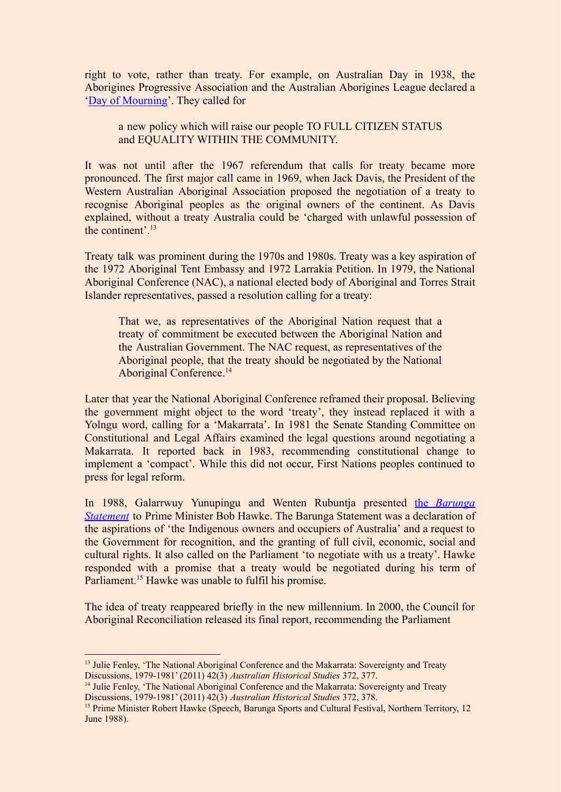right to vote, rather than treaty. For example, on Australian Day in 1938, the Aborigines Progressive Association and the Australian Aborigines League declared a '[Day of Mourning'](https://aiatsis.gov.au/explore/day-of-mourning). They called for

a new policy which will raise our people TO FULL CITIZEN STATUS and EQUALITY WITHIN THE COMMUNITY.

It was not until after the 1967 referendum that calls for treaty became more pronounced. The first major call came in 1969, when Jack Davis, the President of the Western Australian Aboriginal Association proposed the negotiation of a treaty to recognise Aboriginal peoples as the original owners of the continent. As Davis explained, without a treaty Australia could be 'charged with unlawful possession of the continent'.<sup>13</sup>

Treaty talk was prominent during the 1970s and 1980s. Treaty was a key aspiration of the 1972 Aboriginal Tent Embassy and 1972 Larrakia Petition. In 1979, the National Aboriginal Conference (NAC), a national elected body of Aboriginal and Torres Strait Islander representatives, passed a resolution calling for a treaty:

That we, as representatives of the Aboriginal Nation request that a treaty of commitment be executed between the Aboriginal Nation and the Australian Government. The NAC request, as representatives of the Aboriginal people, that the treaty should be negotiated by the National Aboriginal Conference.<sup>14</sup>

Later that year the National Aboriginal Conference reframed their proposal. Believing the government might object to the word 'treaty', they instead replaced it with a Yolngu word, calling for a 'Makarrata'. In 1981 the Senate Standing Committee on Constitutional and Legal Affairs examined the legal questions around negotiating a Makarrata. It reported back in 1983, recommending constitutional change to implement a 'compact'. While this did not occur, First Nations peoples continued to press for legal reform.

In 1988, Galarrwuy Yunupingu and Wenten Rubuntja presented the *[Barunga](https://aiatsis.gov.au/explore/barunga-statement) [Statement](https://aiatsis.gov.au/explore/barunga-statement)* to Prime Minister Bob Hawke. The Barunga Statement was a declaration of the aspirations of 'the Indigenous owners and occupiers of Australia' and a request to the Government for recognition, and the granting of full civil, economic, social and cultural rights. It also called on the Parliament 'to negotiate with us a treaty'. Hawke responded with a promise that a treaty would be negotiated during his term of Parliament.<sup>15</sup> Hawke was unable to fulfil his promise.

The idea of treaty reappeared briefly in the new millennium. In 2000, the Council for Aboriginal Reconciliation released its final report, recommending the Parliament

<sup>&</sup>lt;sup>13</sup> Julie Fenley, 'The National Aboriginal Conference and the Makarrata: Sovereignty and Treaty Discussions, 1979-1981' (2011) 42(3) *Australian Historical Studies* 372, 377.

<sup>&</sup>lt;sup>14</sup> Julie Fenley, 'The National Aboriginal Conference and the Makarrata: Sovereignty and Treaty Discussions, 1979-1981' (2011) 42(3) *Australian Historical Studies* 372, 378.

<sup>&</sup>lt;sup>15</sup> Prime Minister Robert Hawke (Speech, Barunga Sports and Cultural Festival, Northern Territory, 12 June 1988).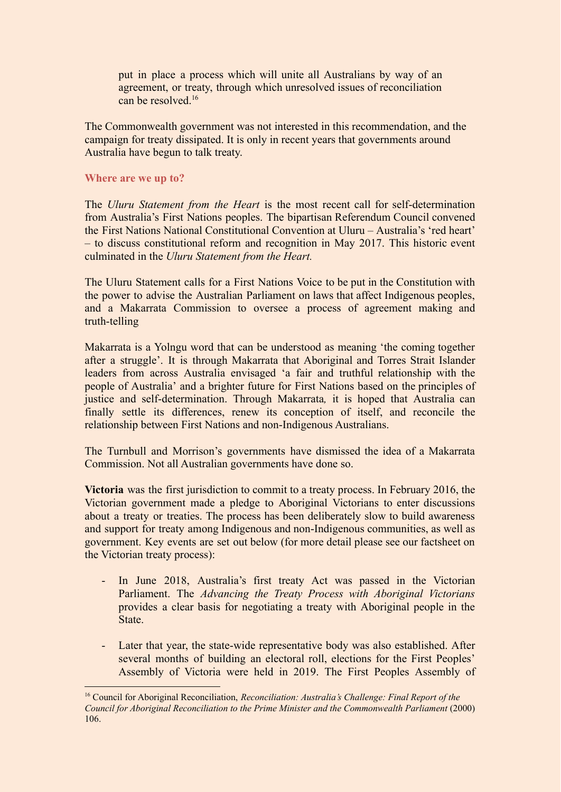put in place a process which will unite all Australians by way of an agreement, or treaty, through which unresolved issues of reconciliation can be resolved.<sup>16</sup>

The Commonwealth government was not interested in this recommendation, and the campaign for treaty dissipated. It is only in recent years that governments around Australia have begun to talk treaty.

#### **Where are we up to?**

The *Uluru Statement from the Heart* is the most recent call for self-determination from Australia's First Nations peoples. The bipartisan Referendum Council convened the First Nations National Constitutional Convention at Uluru – Australia's 'red heart' – to discuss constitutional reform and recognition in May 2017. This historic event culminated in the *Uluru Statement from the Heart.*

The Uluru Statement calls for a First Nations Voice to be put in the Constitution with the power to advise the Australian Parliament on laws that affect Indigenous peoples, and a Makarrata Commission to oversee a process of agreement making and truth-telling

Makarrata is a Yolngu word that can be understood as meaning 'the coming together after a struggle'. It is through Makarrata that Aboriginal and Torres Strait Islander leaders from across Australia envisaged 'a fair and truthful relationship with the people of Australia' and a brighter future for First Nations based on the principles of justice and self-determination. Through Makarrata*,* it is hoped that Australia can finally settle its differences, renew its conception of itself, and reconcile the relationship between First Nations and non-Indigenous Australians.

The Turnbull and Morrison's governments have dismissed the idea of a Makarrata Commission. Not all Australian governments have done so.

**Victoria** was the first jurisdiction to commit to a treaty process. In February 2016, the Victorian government made a pledge to Aboriginal Victorians to enter discussions about a treaty or treaties. The process has been deliberately slow to build awareness and support for treaty among Indigenous and non-Indigenous communities, as well as government. Key events are set out below (for more detail please see our factsheet on the Victorian treaty process):

- In June 2018, Australia's first treaty Act was passed in the Victorian Parliament. The *Advancing the Treaty Process with Aboriginal Victorians* provides a clear basis for negotiating a treaty with Aboriginal people in the State.
- Later that year, the state-wide representative body was also established. After several months of building an electoral roll, elections for the First Peoples' Assembly of Victoria were held in 2019. The First Peoples Assembly of

<sup>16</sup> Council for Aboriginal Reconciliation, *Reconciliation: Australia's Challenge: Final Report of the Council for Aboriginal Reconciliation to the Prime Minister and the Commonwealth Parliament* (2000) 106.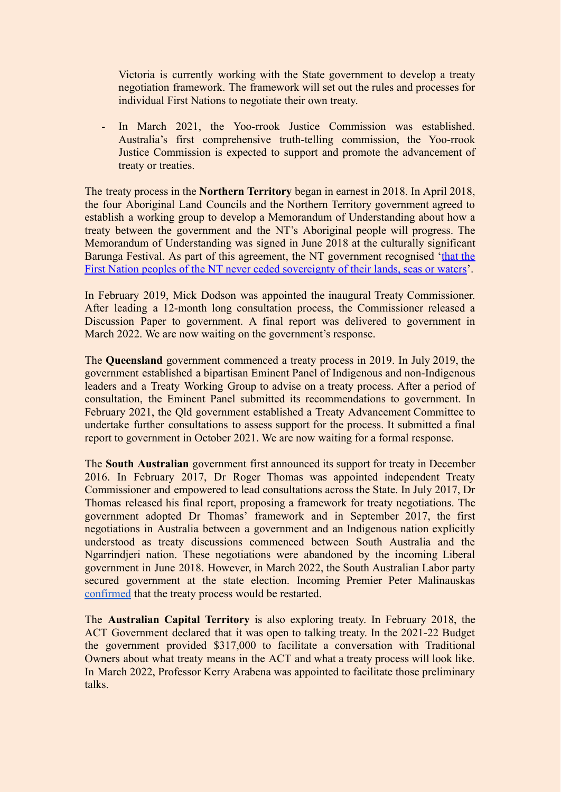Victoria is currently working with the State government to develop a treaty negotiation framework. The framework will set out the rules and processes for individual First Nations to negotiate their own treaty.

In March 2021, the Yoo-rrook Justice Commission was established. Australia's first comprehensive truth-telling commission, the Yoo-rrook Justice Commission is expected to support and promote the advancement of treaty or treaties.

The treaty process in the **Northern Territory** began in earnest in 2018. In April 2018, the four Aboriginal Land Councils and the Northern Territory government agreed to establish a working group to develop a Memorandum of Understanding about how a treaty between the government and the NT's Aboriginal people will progress. The Memorandum of Understanding was signed in June 2018 at the culturally significant Barunga Festival. As part of this agreement, the NT government recognised ['that](https://dcm.nt.gov.au/__data/assets/pdf_file/0003/514272/barunga-muo-treaty.pdf) the [First Nation peoples of the NT never ceded sovereignty of their lands, seas or waters](https://dcm.nt.gov.au/__data/assets/pdf_file/0003/514272/barunga-muo-treaty.pdf)'.

In February 2019, Mick Dodson was appointed the inaugural Treaty Commissioner. After leading a 12-month long consultation process, the Commissioner released a Discussion Paper to government. A final report was delivered to government in March 2022. We are now waiting on the government's response.

The **Queensland** government commenced a treaty process in 2019. In July 2019, the government established a bipartisan Eminent Panel of Indigenous and non-Indigenous leaders and a Treaty Working Group to advise on a treaty process. After a period of consultation, the Eminent Panel submitted its recommendations to government. In February 2021, the Qld government established a Treaty Advancement Committee to undertake further consultations to assess support for the process. It submitted a final report to government in October 2021. We are now waiting for a formal response.

The **South Australian** government first announced its support for treaty in December 2016. In February 2017, Dr Roger Thomas was appointed independent Treaty Commissioner and empowered to lead consultations across the State. In July 2017, Dr Thomas released his final report, proposing a framework for treaty negotiations. The government adopted Dr Thomas' framework and in September 2017, the first negotiations in Australia between a government and an Indigenous nation explicitly understood as treaty discussions commenced between South Australia and the Ngarrindjeri nation. These negotiations were abandoned by the incoming Liberal government in June 2018. However, in March 2022, the South Australian Labor party secured government at the state election. Incoming Premier Peter Malinauskas [confirmed](https://www.sbs.com.au/nitv/article/2022/03/23/what-sas-new-govt-wants-achieve-aboriginal-affairs) that the treaty process would be restarted.

The **Australian Capital Territory** is also exploring treaty. In February 2018, the ACT Government declared that it was open to talking treaty. In the 2021-22 Budget the government provided \$317,000 to facilitate a conversation with Traditional Owners about what treaty means in the ACT and what a treaty process will look like. In March 2022, Professor Kerry Arabena was appointed to facilitate those preliminary talks.